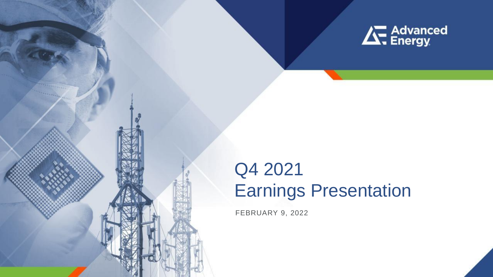

**1**

# Q4 2021 Earnings Presentation

FEBRUARY 9, 2022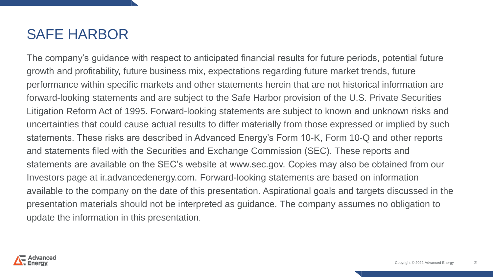#### SAFE HARBOR

The company's guidance with respect to anticipated financial results for future periods, potential future growth and profitability, future business mix, expectations regarding future market trends, future performance within specific markets and other statements herein that are not historical information are forward-looking statements and are subject to the Safe Harbor provision of the U.S. Private Securities Litigation Reform Act of 1995. Forward-looking statements are subject to known and unknown risks and uncertainties that could cause actual results to differ materially from those expressed or implied by such statements. These risks are described in Advanced Energy's Form 10-K, Form 10-Q and other reports and statements filed with the Securities and Exchange Commission (SEC). These reports and statements are available on the SEC's website at www.sec.gov. Copies may also be obtained from our Investors page at ir.advancedenergy.com. Forward-looking statements are based on information available to the company on the date of this presentation. Aspirational goals and targets discussed in the presentation materials should not be interpreted as guidance. The company assumes no obligation to update the information in this presentation.

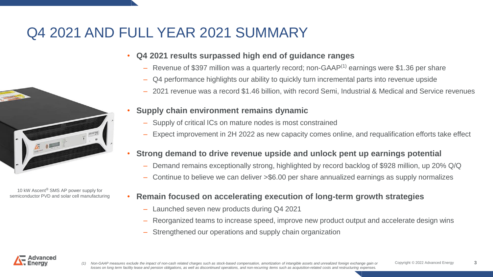### Q4 2021 AND FULL YEAR 2021 SUMMARY

- **Q4 2021 results surpassed high end of guidance ranges**
	- $-$  Revenue of \$397 million was a quarterly record; non-GAAP<sup>(1)</sup> earnings were \$1.36 per share
	- ‒ Q4 performance highlights our ability to quickly turn incremental parts into revenue upside
	- ‒ 2021 revenue was a record \$1.46 billion, with record Semi, Industrial & Medical and Service revenues
- **Supply chain environment remains dynamic**
	- ‒ Supply of critical ICs on mature nodes is most constrained
	- ‒ Expect improvement in 2H 2022 as new capacity comes online, and requalification efforts take effect

#### • **Strong demand to drive revenue upside and unlock pent up earnings potential**

- ‒ Demand remains exceptionally strong, highlighted by record backlog of \$928 million, up 20% Q/Q
- ‒ Continue to believe we can deliver >\$6.00 per share annualized earnings as supply normalizes

#### • **Remain focused on accelerating execution of long-term growth strategies**

- Launched seven new products during Q4 2021
- ‒ Reorganized teams to increase speed, improve new product output and accelerate design wins
- ‒ Strengthened our operations and supply chain organization



10 kW Ascent<sup>®</sup> SMS AP power supply for semiconductor PVD and solar cell manufacturing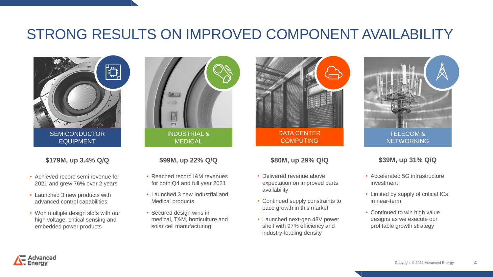### STRONG RESULTS ON IMPROVED COMPONENT AVAILABILITY



**\$179M, up 3.4% Q/Q**

- Achieved record semi revenue for 2021 and grew 76% over 2 years
- Launched 3 new products with advanced control capabilities
- Won multiple design slots with our high voltage, critical sensing and embedded power products



#### **\$99M, up 22% Q/Q**

- Reached record I&M revenues for both Q4 and full year 2021
- Launched 3 new Industrial and Medical products
- Secured design wins in medical, T&M, horticulture and solar cell manufacturing



#### **\$80M, up 29% Q/Q**

- Delivered revenue above expectation on improved parts availability
- Continued supply constraints to pace growth in this market
- Launched next-gen 48V power shelf with 97% efficiency and industry-leading density



TELECOM & **NETWORKING** 

#### **\$39M, up 31% Q/Q**

- Accelerated 5G infrastructure investment
- Limited by supply of critical ICs in near-term
- Continued to win high value designs as we execute our profitable growth strategy

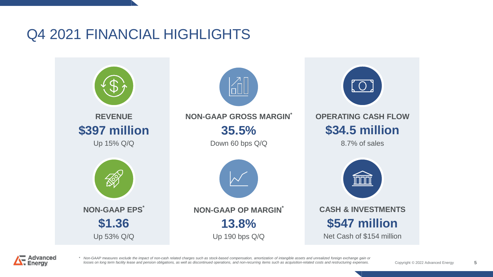#### Q4 2021 FINANCIAL HIGHLIGHTS





*\* Non-GAAP measures exclude the impact of non-cash related charges such as stock-based compensation, amortization of intangible assets and unrealized foreign exchange gain or losses on long term facility lease and pension obligations, as well as discontinued operations, and non-recurring items such as acquisition-related costs and restructuring expenses.*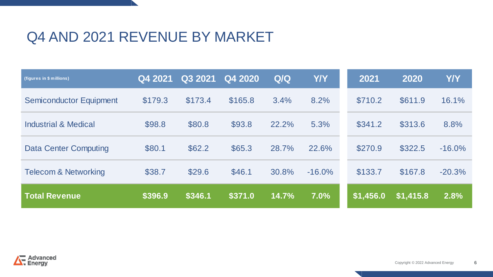## Q4 AND 2021 REVENUE BY MARKET

| (figures in \$ millions)        | Q4 2021 | Q3 2021 | Q4 2020 | Q/Q   | <b>Y/Y</b> | 2021      | 2020      | <b>Y/Y</b> |
|---------------------------------|---------|---------|---------|-------|------------|-----------|-----------|------------|
| <b>Semiconductor Equipment</b>  | \$179.3 | \$173.4 | \$165.8 | 3.4%  | 8.2%       | \$710.2   | \$611.9   | 16.1%      |
| <b>Industrial &amp; Medical</b> | \$98.8  | \$80.8  | \$93.8  | 22.2% | 5.3%       | \$341.2   | \$313.6   | 8.8%       |
| <b>Data Center Computing</b>    | \$80.1  | \$62.2  | \$65.3  | 28.7% | 22.6%      | \$270.9   | \$322.5   | $-16.0%$   |
| <b>Telecom &amp; Networking</b> | \$38.7  | \$29.6  | \$46.1  | 30.8% | $-16.0%$   | \$133.7   | \$167.8   | $-20.3%$   |
| <b>Total Revenue</b>            | \$396.9 | \$346.1 | \$371.0 | 14.7% | 7.0%       | \$1,456.0 | \$1,415.8 | 2.8%       |

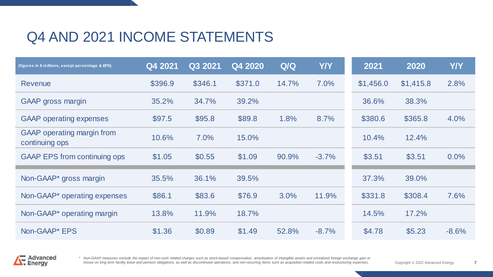## Q4 AND 2021 INCOME STATEMENTS

| (figures in \$ millions, except percentage & EPS)   | Q4 2021 | Q3 2021 | Q4 2020 | Q/Q   | <b>Y/Y</b> | 2021      | 2020      | <b>Y/Y</b> |
|-----------------------------------------------------|---------|---------|---------|-------|------------|-----------|-----------|------------|
| Revenue                                             | \$396.9 | \$346.1 | \$371.0 | 14.7% | 7.0%       | \$1,456.0 | \$1,415.8 | 2.8%       |
| GAAP gross margin                                   | 35.2%   | 34.7%   | 39.2%   |       |            | 36.6%     | 38.3%     |            |
| <b>GAAP</b> operating expenses                      | \$97.5  | \$95.8  | \$89.8  | 1.8%  | 8.7%       | \$380.6   | \$365.8   | 4.0%       |
| <b>GAAP</b> operating margin from<br>continuing ops | 10.6%   | $7.0\%$ | 15.0%   |       |            | 10.4%     | 12.4%     |            |
| <b>GAAP EPS from continuing ops</b>                 | \$1.05  | \$0.55  | \$1.09  | 90.9% | $-3.7%$    | \$3.51    | \$3.51    | 0.0%       |
| Non-GAAP <sup>*</sup> gross margin                  | 35.5%   | 36.1%   | 39.5%   |       |            | 37.3%     | 39.0%     |            |
| Non-GAAP <sup>*</sup> operating expenses            | \$86.1  | \$83.6  | \$76.9  | 3.0%  | 11.9%      | \$331.8   | \$308.4   | 7.6%       |
| Non-GAAP <sup>*</sup> operating margin              | 13.8%   | 11.9%   | 18.7%   |       |            | 14.5%     | 17.2%     |            |
| Non-GAAP* EPS                                       | \$1.36  | \$0.89  | \$1.49  | 52.8% | $-8.7%$    | \$4.78    | \$5.23    | $-8.6%$    |



*\* Non-GAAP measures exclude the impact of non-cash related charges such as stock-based compensation, amortization of intangible assets and unrealized foreign exchange gain or losses on long term facility lease and pension obligations, as well as discontinued operations, and non-recurring items such as acquisition-related costs and restructuring expenses.*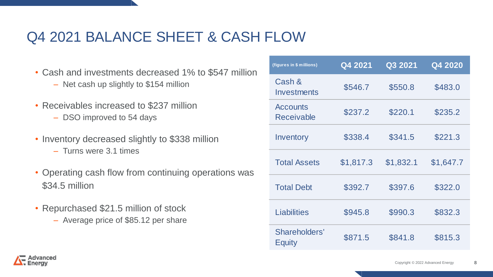## Q4 2021 BALANCE SHEET & CASH FLOW

- Cash and investments decreased 1% to \$547 million
	- Net cash up slightly to \$154 million
- Receivables increased to \$237 million
	- DSO improved to 54 days
- Inventory decreased slightly to \$338 million
	- ‒ Turns were 3.1 times
- Operating cash flow from continuing operations was \$34.5 million
- Repurchased \$21.5 million of stock
	- ‒ Average price of \$85.12 per share

| (figures in \$ millions)             | Q4 2021   | Q3 2021   | Q4 2020   |
|--------------------------------------|-----------|-----------|-----------|
| Cash &<br>Investments                | \$546.7   | \$550.8   | \$483.0   |
| <b>Accounts</b><br><b>Receivable</b> | \$237.2   | \$220.1   | \$235.2   |
| Inventory                            | \$338.4   | \$341.5   | \$221.3   |
| <b>Total Assets</b>                  | \$1,817.3 | \$1,832.1 | \$1,647.7 |
| <b>Total Debt</b>                    | \$392.7   | \$397.6   | \$322.0   |
| <b>Liabilities</b>                   | \$945.8   | \$990.3   | \$832.3   |
| Shareholders'<br><b>Equity</b>       | \$871.5   | \$841.8   | \$815.3   |

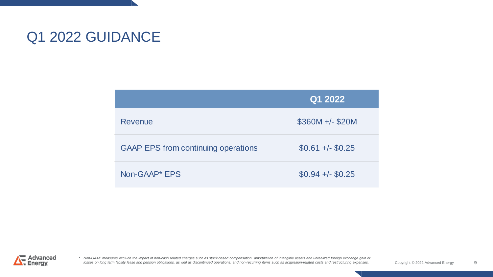### Q1 2022 GUIDANCE

|                                            | Q1 2022           |
|--------------------------------------------|-------------------|
| Revenue                                    | $$360M +/- $20M$  |
| <b>GAAP EPS from continuing operations</b> | $$0.61 +/- $0.25$ |
| Non-GAAP* EPS                              | $$0.94 +/- $0.25$ |



*\* Non-GAAP measures exclude the impact of non-cash related charges such as stock-based compensation, amortization of intangible assets and unrealized foreign exchange gain or losses on long term facility lease and pension obligations, as well as discontinued operations, and non-recurring items such as acquisition-related costs and restructuring expenses.*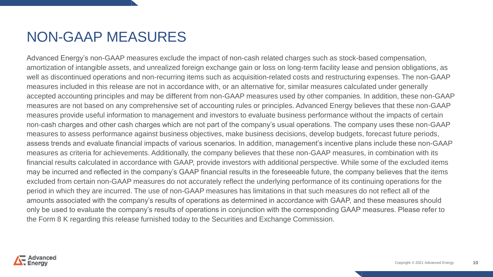#### NON-GAAP MEASURES

Advanced Energy's non-GAAP measures exclude the impact of non-cash related charges such as stock-based compensation, amortization of intangible assets, and unrealized foreign exchange gain or loss on long-term facility lease and pension obligations, as well as discontinued operations and non-recurring items such as acquisition-related costs and restructuring expenses. The non-GAAP measures included in this release are not in accordance with, or an alternative for, similar measures calculated under generally accepted accounting principles and may be different from non-GAAP measures used by other companies. In addition, these non-GAAP measures are not based on any comprehensive set of accounting rules or principles. Advanced Energy believes that these non-GAAP measures provide useful information to management and investors to evaluate business performance without the impacts of certain non-cash charges and other cash charges which are not part of the company's usual operations. The company uses these non-GAAP measures to assess performance against business objectives, make business decisions, develop budgets, forecast future periods, assess trends and evaluate financial impacts of various scenarios. In addition, management's incentive plans include these non-GAAP measures as criteria for achievements. Additionally, the company believes that these non-GAAP measures, in combination with its financial results calculated in accordance with GAAP, provide investors with additional perspective. While some of the excluded items may be incurred and reflected in the company's GAAP financial results in the foreseeable future, the company believes that the items excluded from certain non-GAAP measures do not accurately reflect the underlying performance of its continuing operations for the period in which they are incurred. The use of non-GAAP measures has limitations in that such measures do not reflect all of the amounts associated with the company's results of operations as determined in accordance with GAAP, and these measures should only be used to evaluate the company's results of operations in conjunction with the corresponding GAAP measures. Please refer to the Form 8 K regarding this release furnished today to the Securities and Exchange Commission.

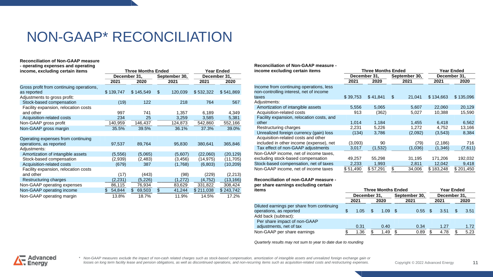## NON-GAAP\* RECONCILIATION

#### **Reconciliation of Non-GAAP measure**

**- operating expenses and operating** 

| income. excluding certain item: |  |
|---------------------------------|--|
|                                 |  |

| income, excluding certain items          |              | <b>Three Months Ended</b> | <b>Year Ended</b> |           |              |  |
|------------------------------------------|--------------|---------------------------|-------------------|-----------|--------------|--|
|                                          |              | December 31,              | September 30,     |           | December 31, |  |
|                                          | 2021         | 2020                      | 2021              | 2021      | 2020         |  |
| Gross profit from continuing operations, |              |                           |                   |           |              |  |
| as reported                              | \$139,747    | \$145,549                 | \$<br>120,039     | \$532,322 | \$541,869    |  |
| Adjustments to gross profit:             |              |                           |                   |           |              |  |
| Stock-based compensation                 | (19)         | 122                       | 218               | 764       | 567          |  |
| Facility expansion, relocation costs     |              |                           |                   |           |              |  |
| and other                                | 997          | 741                       | 1,357             | 6,189     | 4,349        |  |
| Acquisition-related costs                | 234          | 25                        | 3,259             | 3,585     | 5,381        |  |
| Non-GAAP gross profit                    | 140,959      | 146,437                   | 124,873           | 542,860   | 552,166      |  |
| Non-GAAP gross margin                    | 35.5%        | 39.5%                     | 36.1%             | 37.3%     | 39.0%        |  |
|                                          |              |                           |                   |           |              |  |
| Operating expenses from continuing       |              |                           |                   |           |              |  |
| operations, as reported                  | 97,537       | 89,764                    | 95,830            | 380,641   | 365,846      |  |
| Adjustments:                             |              |                           |                   |           |              |  |
| Amortization of intangible assets        | (5, 556)     | (5,065)                   | (5,607)           | (22,060)  | (20, 129)    |  |
| Stock-based compensation                 | (2,939)      | (2, 483)                  | (3,456)           | (14,975)  | (11, 705)    |  |
| Acquisition-related costs                | (679)        | 387                       | (1,768)           | (6, 803)  | (10, 209)    |  |
| Facility expansion, relocation costs     |              |                           |                   |           |              |  |
| and other                                | (17)         | (443)                     | (98)              | (229)     | (2,213)      |  |
| Restructuring charges                    | (2,231)      | (5,226)                   | (1, 272)          | (4, 752)  | (13, 166)    |  |
| Non-GAAP operating expenses              | 86,115       | 76,934                    | 83,629            | 331,822   | 308,424      |  |
| Non-GAAP operating income                | \$<br>54,844 | 69,503<br>\$              | \$<br>41,244      | \$211,038 | \$243,742    |  |
| Non-GAAP operating margin                | 13.8%        | 18.7%                     | 11.9%             | 14.5%     | 17.2%        |  |

| <b>Reconciliation of Non-GAAP measure -</b><br>income excluding certain items      |          | <b>Three Months Ended</b>     |    |         |           | Year Ended   |
|------------------------------------------------------------------------------------|----------|-------------------------------|----|---------|-----------|--------------|
|                                                                                    |          | December 31,<br>September 30, |    |         |           | December 31. |
|                                                                                    | 2021     | 2020                          |    | 2021    | 2021      | 2020         |
| Income from continuing operations, less<br>non-controlling interest, net of income |          |                               |    |         |           |              |
| taxes                                                                              | \$39,753 | \$41,841                      | S  | 21,041  | \$134,663 | \$135,096    |
| Adjustments:                                                                       |          |                               |    |         |           |              |
| Amortization of intangible assets                                                  | 5,556    | 5,065                         |    | 5,607   | 22,060    | 20,129       |
| Acquisition-related costs                                                          | 913      | (362)                         |    | 5,027   | 10,388    | 15,590       |
| Facility expansion, relocation costs, and                                          |          |                               |    |         |           |              |
| other                                                                              | 1,014    | 1,184                         |    | 1,455   | 6,418     | 6,562        |
| Restructuring charges                                                              | 2,231    | 5,226                         |    | 1,272   | 4,752     | 13,166       |
| Unrealized foreign currency (gain) loss                                            | (134)    | 3,786                         |    | (2,092) | (3, 543)  | 8,384        |
| Acquisition-related costs and other                                                |          |                               |    |         |           |              |
| included in other income (expense), net                                            | (3,093)  | 90                            |    | (79)    | (2, 186)  | 716          |
| Tax effect of non-GAAP adjustments                                                 | 3,017    | (1,532)                       |    | (1,036) | (1,346)   | (7,611)      |
| Non-GAAP income, net of income taxes,                                              |          |                               |    |         |           |              |
| excluding stock-based compensation                                                 | 49,257   | 55,298                        |    | 31,195  | 171,206   | 192,032      |
| Stock-based compensation, net of taxes                                             | 2,233    | 1,993                         |    | 2,811   | 12,042    | 9,418        |
| Non-GAAP income, net of income taxes                                               | \$51,490 | \$57,291                      | \$ | 34,006  | \$183,248 | \$201,450    |

#### **Reconciliation of non-GAAP measure per share earnings excluding certain items Three Months Ended Year Ended**

| December 31, |      |      |      |      |        |               |           |      |              |
|--------------|------|------|------|------|--------|---------------|-----------|------|--------------|
|              |      |      |      |      | 2021   |               |           |      | 2020         |
|              |      |      |      |      |        |               |           |      |              |
|              | 1.05 |      |      |      |        |               | 3.51      |      | 3.51         |
|              |      |      |      |      |        |               |           |      |              |
|              |      |      |      |      |        |               |           |      |              |
|              | 0.31 |      | 0.40 |      | 0.34   |               | 1.27      |      | 1.72         |
|              | 1.36 |      | 1.49 |      | 0.89   |               | 4.78      |      | 5.23         |
|              |      | 2021 |      | 2020 | 1.09 S | September 30, | $0.55$ \$ | 2021 | December 31. |

*Quarterly results may not sum to year to date due to rounding*